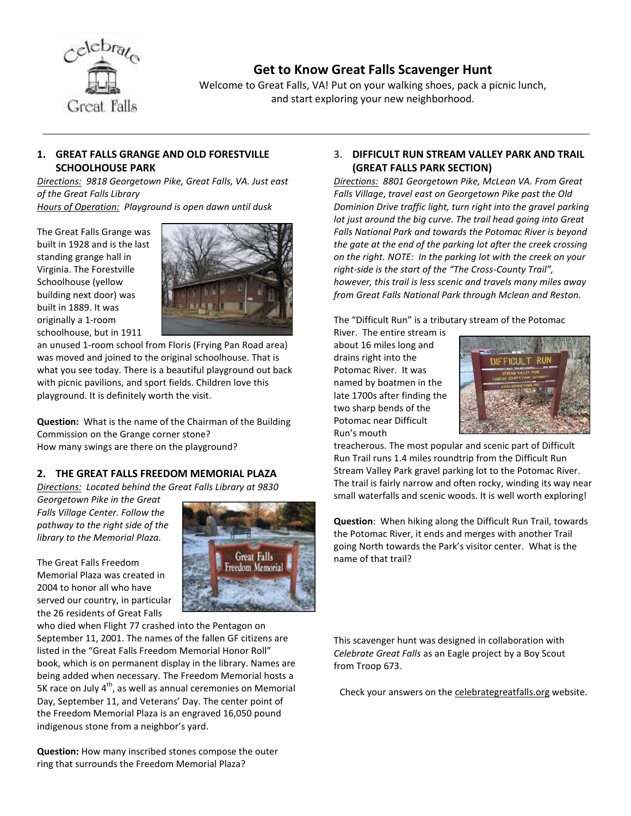

# **Get to Know Great Falls Scavenger Hunt**

Welcome to Great Falls, VA! Put on your walking shoes, pack a picnic lunch, and start exploring your new neighborhood.

### **1. GREAT FALLS GRANGE AND OLD FORESTVILLE SCHOOLHOUSE PARK**

*Directions: 9818 Georgetown Pike, Great Falls, VA. Just east of the Great Falls Library Hours of Operation: Playground is open dawn until dusk*

The Great Falls Grange was built in 1928 and is the last standing grange hall in Virginia. The Forestville Schoolhouse (yellow building next door) was built in 1889. It was originally a 1-room

schoolhouse, but in 1911



an unused 1-room school from Floris (Frying Pan Road area) was moved and joined to the original schoolhouse. That is what you see today. There is a beautiful playground out back with picnic pavilions, and sport fields. Children love this playground. It is definitely worth the visit.

**Question:** What is the name of the Chairman of the Building Commission on the Grange corner stone? How many swings are there on the playground?

## **2. THE GREAT FALLS FREEDOM MEMORIAL PLAZA**

*Directions: Located behind the Great Falls Library at 9830* 

*Georgetown Pike in the Great Falls Village Center. Follow the pathway to the right side of the library to the Memorial Plaza.*

The Great Falls Freedom Memorial Plaza was created in 2004 to honor all who have served our country, in particular the 26 residents of Great Falls



who died when Flight 77 crashed into the Pentagon on September 11, 2001. The names of the fallen GF citizens are listed in the "Great Falls Freedom Memorial Honor Roll" book, which is on permanent display in the library. Names are being added when necessary. The Freedom Memorial hosts a 5K race on July  $4<sup>th</sup>$ , as well as annual ceremonies on Memorial Day, September 11, and Veterans' Day. The center point of the Freedom Memorial Plaza is an engraved 16,050 pound indigenous stone from a neighbor's yard.

**Question:** How many inscribed stones compose the outer ring that surrounds the Freedom Memorial Plaza?

### 3. **DIFFICULT RUN STREAM VALLEY PARK AND TRAIL (GREAT FALLS PARK SECTION)**

*Directions: 8801 Georgetown Pike, McLean VA. From Great Falls Village*, *travel east on Georgetown Pike past the Old Dominion Drive traffic light, turn right into the gravel parking lot just around the big curve. The trail head going into Great Falls National Park and towards the Potomac River is beyond the gate at the end of the parking lot after the creek crossing on the right. NOTE: In the parking lot with the creek on your right-side is the start of the "The Cross-County Trail", however, this trail is less scenic and travels many miles away from Great Falls National Park through Mclean and Reston.*

The "Difficult Run" is a tributary stream of the Potomac

River. The entire stream is about 16 miles long and drains right into the Potomac River. It was named by boatmen in the late 1700s after finding the two sharp bends of the Potomac near Difficult Run's mouth



treacherous. The most popular and scenic part of Difficult Run Trail runs 1.4 miles roundtrip from the Difficult Run Stream Valley Park gravel parking lot to the Potomac River. The trail is fairly narrow and often rocky, winding its way near small waterfalls and scenic woods. It is well worth exploring!

**Question**: When hiking along the Difficult Run Trail, towards the Potomac River, it ends and merges with another Trail going North towards the Park's visitor center. What is the name of that trail?

This scavenger hunt was designed in collaboration with *Celebrate Great Falls* as an Eagle project by a Boy Scout from Troop 673.

Check your answers on the celebrategreatfalls.org website.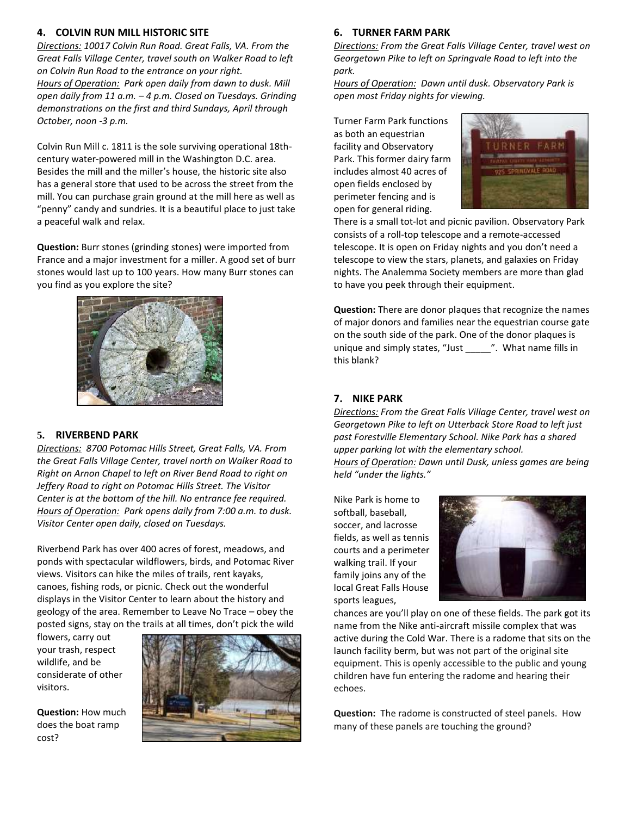#### **4. COLVIN RUN MILL HISTORIC SITE**

*Directions: 10017 Colvin Run Road. Great Falls, VA. From the Great Falls Village Center, travel south on Walker Road to left on Colvin Run Road to the entrance on your right. Hours of Operation: Park open daily from dawn to dusk. Mill open daily from 11 a.m. – 4 p.m. Closed on Tuesdays. Grinding demonstrations on the first and third Sundays, April through October, noon -3 p.m.*

Colvin Run Mill c. 1811 is the sole surviving operational 18thcentury water-powered mill in the Washington D.C. area. Besides the mill and the miller's house, the historic site also has a general store that used to be across the street from the mill. You can purchase grain ground at the mill here as well as "penny" candy and sundries. It is a beautiful place to just take a peaceful walk and relax.

**Question:** Burr stones (grinding stones) were imported from France and a major investment for a miller. A good set of burr stones would last up to 100 years. How many Burr stones can you find as you explore the site?



#### **5. RIVERBEND PARK**

*Directions: 8700 Potomac Hills Street, Great Falls, VA. From the Great Falls Village Center, travel north on Walker Road to Right on Arnon Chapel to left on River Bend Road to right on Jeffery Road to right on Potomac Hills Street. The Visitor Center is at the bottom of the hill. No entrance fee required. Hours of Operation: Park opens daily from 7:00 a.m. to dusk. Visitor Center open daily, closed on Tuesdays.*

Riverbend Park has over 400 acres of forest, meadows, and ponds with spectacular wildflowers, birds, and Potomac River views. Visitors can hike the miles of trails, rent kayaks, canoes, fishing rods, or picnic. Check out the wonderful displays in the Visitor Center to learn about the history and geology of the area. Remember to Leave No Trace – obey the posted signs, stay on the trails at all times, don't pick the wild

flowers, carry out your trash, respect wildlife, and be considerate of other visitors.

**Question:** How much does the boat ramp cost?



#### **6. TURNER FARM PARK**

*Directions: From the Great Falls Village Center, travel west on Georgetown Pike to left on Springvale Road to left into the park.* 

*Hours of Operation: Dawn until dusk. Observatory Park is open most Friday nights for viewing.*

Turner Farm Park functions as both an equestrian facility and Observatory Park. This former dairy farm includes almost 40 acres of open fields enclosed by perimeter fencing and is open for general riding.



There is a small tot-lot and picnic pavilion. Observatory Park consists of a roll-top telescope and a remote-accessed telescope. It is open on Friday nights and you don't need a telescope to view the stars, planets, and galaxies on Friday nights. The Analemma Society members are more than glad to have you peek through their equipment.

**Question:** There are donor plaques that recognize the names of major donors and families near the equestrian course gate on the south side of the park. One of the donor plaques is unique and simply states, "Just \_\_\_\_\_". What name fills in this blank?

#### **7. NIKE PARK**

*Directions: From the Great Falls Village Center, travel west on Georgetown Pike to left on Utterback Store Road to left just past Forestville Elementary School. Nike Park has a shared upper parking lot with the elementary school. Hours of Operation: Dawn until Dusk, unless games are being held "under the lights."*

Nike Park is home to softball, baseball, soccer, and lacrosse fields, as well as tennis courts and a perimeter walking trail. If your family joins any of the local Great Falls House sports leagues,



chances are you'll play on one of these fields. The park got its name from the Nike anti-aircraft missile complex that was active during the Cold War. There is a radome that sits on the launch facility berm, but was not part of the original site equipment. This is openly accessible to the public and young children have fun entering the radome and hearing their echoes.

**Question:** The radome is constructed of steel panels. How many of these panels are touching the ground?